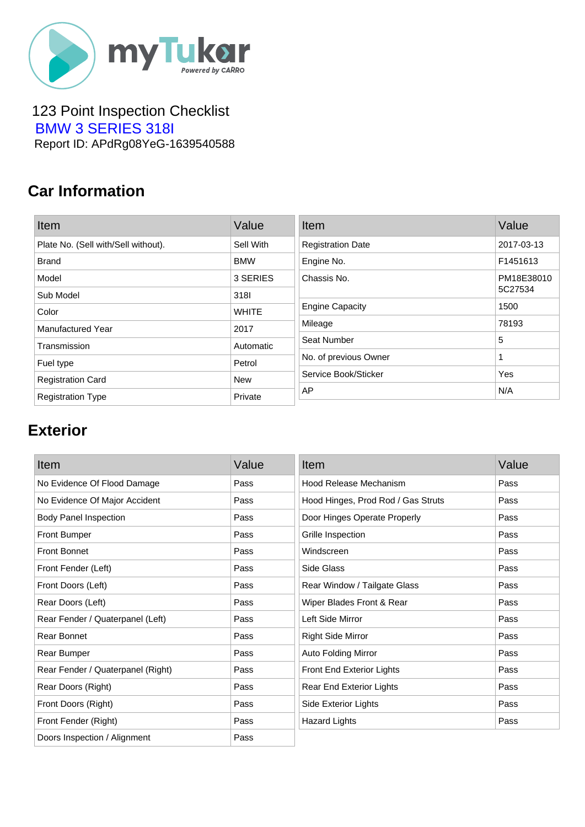

#### 123 Point Inspection Checklist  [BMW 3 SERIES 318I](https://mytukar.com/q/DX2O59) Report ID: APdRg08YeG-1639540588

# **Car Information**

| Item                                | Value        | Item                     | Value      |
|-------------------------------------|--------------|--------------------------|------------|
| Plate No. (Sell with/Sell without). | Sell With    | <b>Registration Date</b> | 2017-03-13 |
| <b>Brand</b>                        | <b>BMW</b>   | Engine No.               | F1451613   |
| Model                               | 3 SERIES     | Chassis No.              | PM18E38010 |
| Sub Model                           | 3181         |                          | 5C27534    |
| Color                               | <b>WHITE</b> | <b>Engine Capacity</b>   | 1500       |
| Manufactured Year                   | 2017         | Mileage                  | 78193      |
| Transmission                        | Automatic    | Seat Number              | 5          |
| Fuel type                           | Petrol       | No. of previous Owner    | 1          |
| <b>Registration Card</b>            | <b>New</b>   | Service Book/Sticker     | Yes        |
| <b>Registration Type</b>            | Private      | AP                       | N/A        |

# **Exterior**

| Item                              | Value | Item                               | Value |
|-----------------------------------|-------|------------------------------------|-------|
| No Evidence Of Flood Damage       | Pass  | Hood Release Mechanism             | Pass  |
| No Evidence Of Major Accident     | Pass  | Hood Hinges, Prod Rod / Gas Struts | Pass  |
| <b>Body Panel Inspection</b>      | Pass  | Door Hinges Operate Properly       | Pass  |
| <b>Front Bumper</b>               | Pass  | Grille Inspection                  | Pass  |
| <b>Front Bonnet</b>               | Pass  | Windscreen                         | Pass  |
| Front Fender (Left)               | Pass  | Side Glass                         | Pass  |
| Front Doors (Left)                | Pass  | Rear Window / Tailgate Glass       | Pass  |
| Rear Doors (Left)                 | Pass  | Wiper Blades Front & Rear          | Pass  |
| Rear Fender / Quaterpanel (Left)  | Pass  | Left Side Mirror                   | Pass  |
| Rear Bonnet                       | Pass  | <b>Right Side Mirror</b>           | Pass  |
| Rear Bumper                       | Pass  | Auto Folding Mirror                | Pass  |
| Rear Fender / Quaterpanel (Right) | Pass  | Front End Exterior Lights          | Pass  |
| Rear Doors (Right)                | Pass  | Rear End Exterior Lights           | Pass  |
| Front Doors (Right)               | Pass  | Side Exterior Lights               | Pass  |
| Front Fender (Right)              | Pass  | <b>Hazard Lights</b>               | Pass  |
| Doors Inspection / Alignment      | Pass  |                                    |       |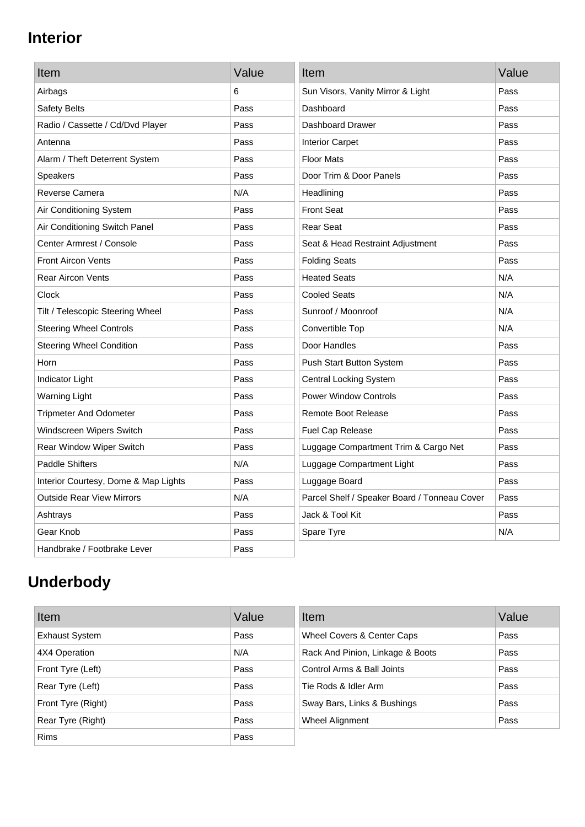### **Interior**

| Item                                 | Value | Item                                         | Value |
|--------------------------------------|-------|----------------------------------------------|-------|
| Airbags                              | 6     | Sun Visors, Vanity Mirror & Light            | Pass  |
| Safety Belts                         | Pass  | Dashboard                                    | Pass  |
| Radio / Cassette / Cd/Dvd Player     | Pass  | Dashboard Drawer                             | Pass  |
| Antenna                              | Pass  | <b>Interior Carpet</b>                       | Pass  |
| Alarm / Theft Deterrent System       | Pass  | <b>Floor Mats</b>                            | Pass  |
| <b>Speakers</b>                      | Pass  | Door Trim & Door Panels                      | Pass  |
| Reverse Camera                       | N/A   | Headlining                                   | Pass  |
| Air Conditioning System              | Pass  | <b>Front Seat</b>                            | Pass  |
| Air Conditioning Switch Panel        | Pass  | <b>Rear Seat</b>                             | Pass  |
| Center Armrest / Console             | Pass  | Seat & Head Restraint Adjustment             | Pass  |
| <b>Front Aircon Vents</b>            | Pass  | <b>Folding Seats</b>                         | Pass  |
| <b>Rear Aircon Vents</b>             | Pass  | <b>Heated Seats</b>                          | N/A   |
| Clock                                | Pass  | <b>Cooled Seats</b>                          | N/A   |
| Tilt / Telescopic Steering Wheel     | Pass  | Sunroof / Moonroof                           | N/A   |
| <b>Steering Wheel Controls</b>       | Pass  | Convertible Top                              | N/A   |
| <b>Steering Wheel Condition</b>      | Pass  | Door Handles                                 | Pass  |
| Horn                                 | Pass  | Push Start Button System                     | Pass  |
| Indicator Light                      | Pass  | <b>Central Locking System</b>                | Pass  |
| <b>Warning Light</b>                 | Pass  | <b>Power Window Controls</b>                 | Pass  |
| <b>Tripmeter And Odometer</b>        | Pass  | <b>Remote Boot Release</b>                   | Pass  |
| Windscreen Wipers Switch             | Pass  | Fuel Cap Release                             | Pass  |
| Rear Window Wiper Switch             | Pass  | Luggage Compartment Trim & Cargo Net         | Pass  |
| <b>Paddle Shifters</b>               | N/A   | Luggage Compartment Light                    | Pass  |
| Interior Courtesy, Dome & Map Lights | Pass  | Luggage Board                                | Pass  |
| <b>Outside Rear View Mirrors</b>     | N/A   | Parcel Shelf / Speaker Board / Tonneau Cover | Pass  |
| Ashtrays                             | Pass  | Jack & Tool Kit                              | Pass  |
| Gear Knob                            | Pass  | Spare Tyre                                   | N/A   |
| Handbrake / Footbrake Lever          | Pass  |                                              |       |

# **Underbody**

| Item                  | Value | Item                             | Value |
|-----------------------|-------|----------------------------------|-------|
| <b>Exhaust System</b> | Pass  | Wheel Covers & Center Caps       | Pass  |
| 4X4 Operation         | N/A   | Rack And Pinion, Linkage & Boots | Pass  |
| Front Tyre (Left)     | Pass  | Control Arms & Ball Joints       | Pass  |
| Rear Tyre (Left)      | Pass  | Tie Rods & Idler Arm             | Pass  |
| Front Tyre (Right)    | Pass  | Sway Bars, Links & Bushings      | Pass  |
| Rear Tyre (Right)     | Pass  | Wheel Alignment                  | Pass  |
| <b>Rims</b>           | Pass  |                                  |       |